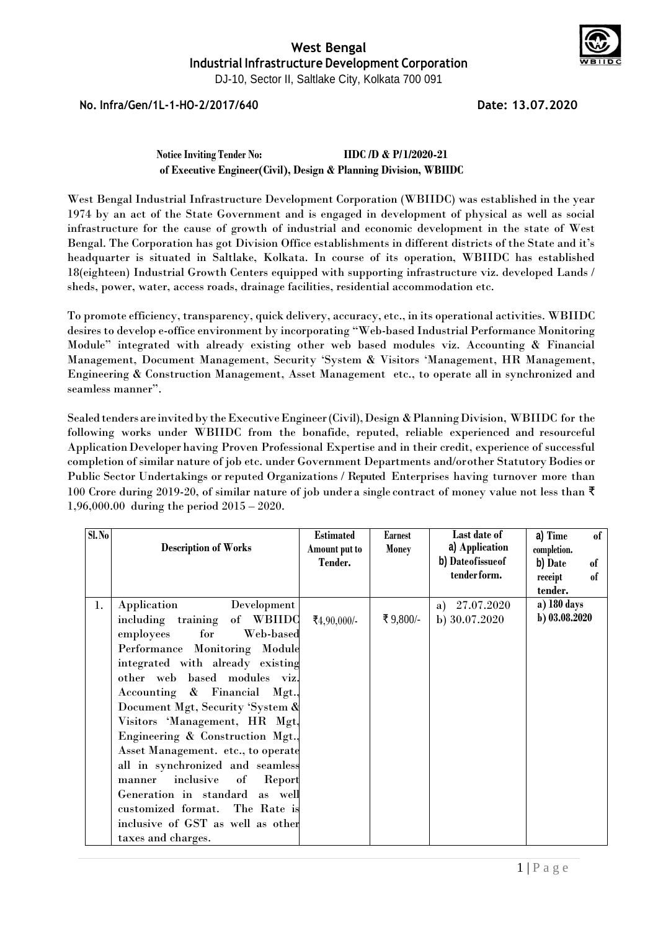

**No. Infra/Gen/1L-1-HO-2/2017/640 Date: 13.07.2020**

#### **Notice Inviting Tender No: IIDC /D & P/1/2020-21 of Executive Engineer(Civil), Design & Planning Division, WBIIDC**

West Bengal Industrial Infrastructure Development Corporation (WBIIDC) was established in the year 1974 by an act of the State Government and is engaged in development of physical as well as social infrastructure for the cause of growth of industrial and economic development in the state of West Bengal. The Corporation has got Division Office establishments in different districts of the State and it's headquarter is situated in Saltlake, Kolkata. In course of its operation, WBIIDC has established 18(eighteen) Industrial Growth Centers equipped with supporting infrastructure viz. developed Lands / sheds, power, water, access roads, drainage facilities, residential accommodation etc.

To promote efficiency, transparency, quick delivery, accuracy, etc., in its operational activities. WBIIDC desires to develop e-office environment by incorporating "Web-based Industrial Performance Monitoring Module" integrated with already existing other web based modules viz. Accounting & Financial Management, Document Management, Security 'System & Visitors 'Management, HR Management, Engineering & Construction Management, Asset Management etc., to operate all in synchronized and seamless manner".

Sealed tenders are invited by the Executive Engineer (Civil), Design & Planning Division, WBIIDC for the following works under WBIIDC from the bonafide, reputed, reliable experienced and resourceful Application Developer having Proven Professional Expertise and in their credit, experience of successful completion of similar nature of job etc. under Government Departments and/orother StatutoryBodies or Public Sector Undertakings or reputed Organizations / Reputed Enterprises having turnover more than 100 Crore during 2019-20, of similar nature of job under a single contract of money value not less than ₹ 1,96,000.00 during the period 2015 – 2020.

| S1. No |                                     | <b>Estimated</b> | Earnest      | Last date of      | a) Time<br>of |
|--------|-------------------------------------|------------------|--------------|-------------------|---------------|
|        | <b>Description of Works</b>         | Amount put to    | <b>Money</b> | a) Application    | completion.   |
|        |                                     | Tender.          |              | b) Dateofissue of | b) Date<br>of |
|        |                                     |                  |              | tender form.      | of<br>receipt |
|        |                                     |                  |              |                   | tender.       |
| 1.     | Development<br>Application          |                  |              | 27.07.2020<br>a)  | a) 180 days   |
|        | including training of WBIIDC        | ₹4,90,000/-      | ₹9,800/-     | b) 30.07.2020     | b) 03.08.2020 |
|        | for<br>Web-based<br>employees       |                  |              |                   |               |
|        | Performance Monitoring Module       |                  |              |                   |               |
|        | integrated with already existing    |                  |              |                   |               |
|        | other web based modules viz.        |                  |              |                   |               |
|        | Accounting & Financial Mgt.,        |                  |              |                   |               |
|        | Document Mgt, Security 'System &    |                  |              |                   |               |
|        | Visitors 'Management, HR Mgt,       |                  |              |                   |               |
|        | Engineering & Construction Mgt.,    |                  |              |                   |               |
|        | Asset Management. etc., to operate  |                  |              |                   |               |
|        | all in synchronized and seamless    |                  |              |                   |               |
|        | inclusive<br>Report<br>of<br>manner |                  |              |                   |               |
|        | Generation in standard as well      |                  |              |                   |               |
|        | customized format. The Rate is      |                  |              |                   |               |
|        | inclusive of GST as well as other   |                  |              |                   |               |
|        | taxes and charges.                  |                  |              |                   |               |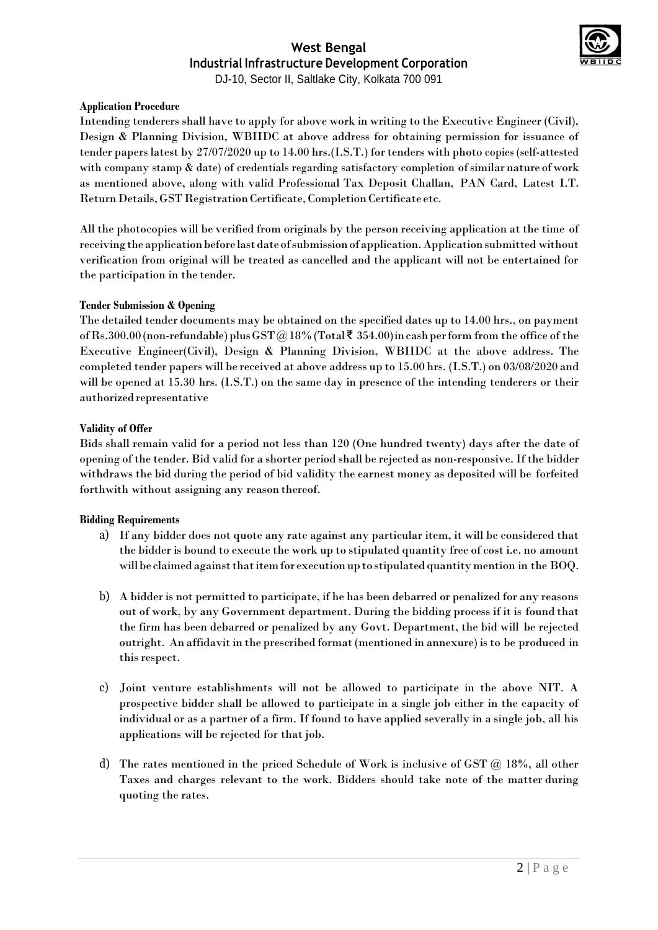

DJ-10, Sector II, Saltlake City, Kolkata 700 091

#### **Application Procedure**

Intending tenderers shall have to apply for above work in writing to the Executive Engineer (Civil), Design & Planning Division, WBIIDC at above address for obtaining permission for issuance of tender papers latest by 27/07/2020 up to 14.00 hrs.(I.S.T.) for tenders with photo copies (self-attested with company stamp & date) of credentials regarding satisfactory completion of similar nature of work as mentioned above, along with valid Professional Tax Deposit Challan, PAN Card, Latest I.T. Return Details, GST Registration Certificate, Completion Certificate etc.

All the photocopies will be verified from originals by the person receiving application at the time of receiving the application before last date of submission of application. Application submitted without verification from original will be treated as cancelled and the applicant will not be entertained for the participation in the tender.

#### **Tender Submission & Opening**

The detailed tender documents may be obtained on the specified dates up to 14.00 hrs., on payment of Rs.300.00 (non-refundable) plus GST @18% (Total  $\bar{\mathfrak{F}}$  354.00) in cash per form from the office of the Executive Engineer(Civil), Design & Planning Division, WBIIDC at the above address. The completed tender papers will be received at above address up to 15.00 hrs. (I.S.T.) on 03/08/2020 and will be opened at 15.30 hrs. (I.S.T.) on the same day in presence of the intending tenderers or their authorized representative

#### **Validity of Offer**

Bids shall remain valid for a period not less than 120 (One hundred twenty) days after the date of opening of the tender. Bid valid for a shorter period shall be rejected as non-responsive. If the bidder withdraws the bid during the period of bid validity the earnest money as deposited will be forfeited forthwith without assigning any reason thereof.

#### **Bidding Requirements**

- a) If any bidder does not quote any rate against any particular item, it will be considered that the bidder is bound to execute the work up to stipulated quantity free of cost i.e. no amount will be claimed against that item for execution up to stipulated quantity mention in the BOQ.
- b) A bidder is not permitted to participate, if he has been debarred or penalized for any reasons out of work, by any Government department. During the bidding process if it is found that the firm has been debarred or penalized by any Govt. Department, the bid will be rejected outright. An affidavitin the prescribed format(mentioned in annexure) isto be produced in this respect.
- c) Joint venture establishments will not be allowed to participate in the above NIT. A prospective bidder shall be allowed to participate in a single job either in the capacity of individual or as a partner of a firm. If found to have applied severally in a single job, all his applications will be rejected for that job.
- d) The rates mentioned in the priced Schedule of Work is inclusive of GST @ 18%, all other Taxes and charges relevant to the work. Bidders should take note of the matter during quoting the rates.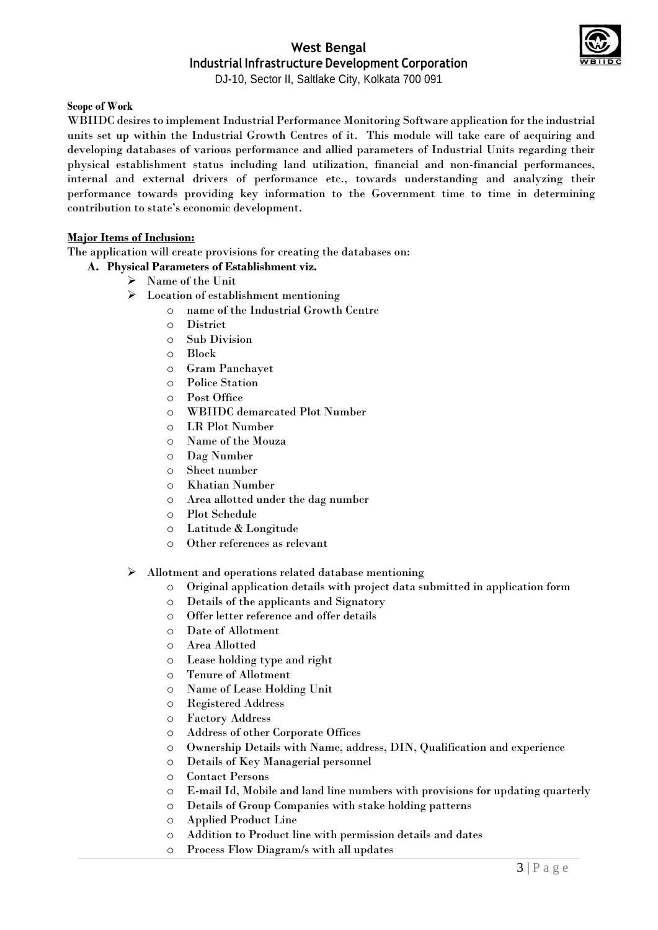

DJ-10, Sector II, Saltlake City, Kolkata 700 091

#### **Scope of Work**

WBIIDC desires to implement Industrial Performance Monitoring Software application for the industrial units set up within the Industrial Growth Centres of it. This module will take care of acquiring and developing databases of various performance and allied parameters of Industrial Units regarding their physical establishment status including land utilization, financial and non-financial performances, internal and external drivers of performance etc., towards understanding and analyzing their performance towards providing key information to the Government time to time in determining contribution to state's economic development.

#### **Major Items of Inclusion:**

The application will create provisions for creating the databases on:

- **A. Physical Parameters of Establishment viz.**
	- Name of the Unit
	- Location of establishment mentioning
		- o name of the Industrial Growth Centre
		- o District
		- o Sub Division
		- o Block
		- o Gram Panchayet
		- o Police Station
		- o Post Office
		- o WBIIDC demarcated Plot Number
		- o LR Plot Number
		- o Name of the Mouza
		- o Dag Number
		- o Sheet number
		- o Khatian Number
		- o Area allotted under the dag number
		- o Plot Schedule
		- o Latitude & Longitude
		- o Other references as relevant
	- Allotment and operations related database mentioning
		- o Original application details with project data submitted in application form
		- o Details of the applicants and Signatory
		- o Offer letter reference and offer details
		- o Date of Allotment
		- o Area Allotted
		- o Lease holding type and right
		- o Tenure of Allotment
		- o Name of Lease Holding Unit
		- o Registered Address
		- o Factory Address
		- o Address of other Corporate Offices
		- o Ownership Details with Name, address, DIN, Qualification and experience
		- o Details of Key Managerial personnel
		- o Contact Persons
		- o E-mail Id, Mobile and land line numbers with provisions for updating quarterly
		- o Details of Group Companies with stake holding patterns
		- o Applied Product Line
		- o Addition to Product line with permission details and dates
		- o Process Flow Diagram/s with all updates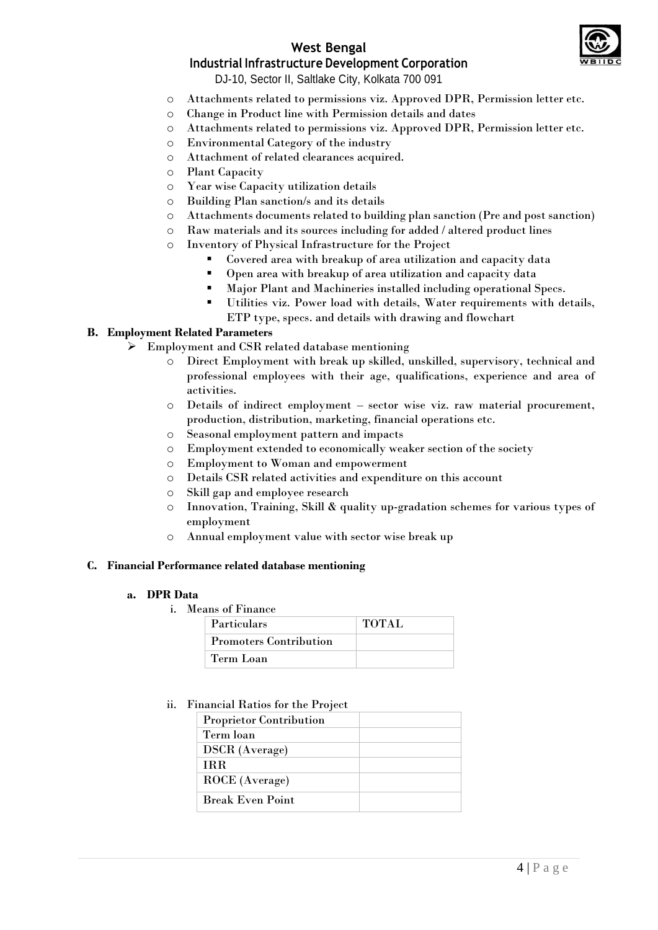## **West Bengal**



## **Industrial Infrastructure Development Corporation**

DJ-10, Sector II, Saltlake City, Kolkata 700 091

- o Attachments related to permissions viz. Approved DPR, Permission letter etc.
- o Change in Product line with Permission details and dates
- o Attachments related to permissions viz. Approved DPR, Permission letter etc.
- o Environmental Category of the industry
- o Attachment of related clearances acquired.
- o Plant Capacity
- o Year wise Capacity utilization details
- o Building Plan sanction/s and its details
- o Attachments documents related to building plan sanction (Pre and post sanction)
- o Raw materials and its sources including for added / altered product lines
- o Inventory of Physical Infrastructure for the Project
	- Covered area with breakup of area utilization and capacity data
	- Open area with breakup of area utilization and capacity data
	- Major Plant and Machineries installed including operational Specs.
	- Utilities viz. Power load with details, Water requirements with details,
		- ETP type, specs. and details with drawing and flowchart

#### **B. Employment Related Parameters**

- Employment and CSR related database mentioning
	- o Direct Employment with break up skilled, unskilled, supervisory, technical and professional employees with their age, qualifications, experience and area of activities.
	- o Details of indirect employment sector wise viz. raw material procurement, production, distribution, marketing, financial operations etc.
	- o Seasonal employment pattern and impacts
	- o Employment extended to economically weaker section of the society
	- o Employment to Woman and empowerment
	- o Details CSR related activities and expenditure on this account
	- o Skill gap and employee research
	- o Innovation, Training, Skill & quality up-gradation schemes for various types of employment
	- o Annual employment value with sector wise break up

#### **C. Financial Performance related database mentioning**

#### **a. DPR Data**

i. Means of Finance

| <b>Particulars</b>            | <b>TOTAL</b> |
|-------------------------------|--------------|
| <b>Promoters Contribution</b> |              |
| Term Loan                     |              |

#### ii. Financial Ratios for the Project

| <b>Proprietor Contribution</b> |  |
|--------------------------------|--|
| Term loan                      |  |
| <b>DSCR</b> (Average)          |  |
| <b>IRR</b>                     |  |
| ROCE (Average)                 |  |
| <b>Break Even Point</b>        |  |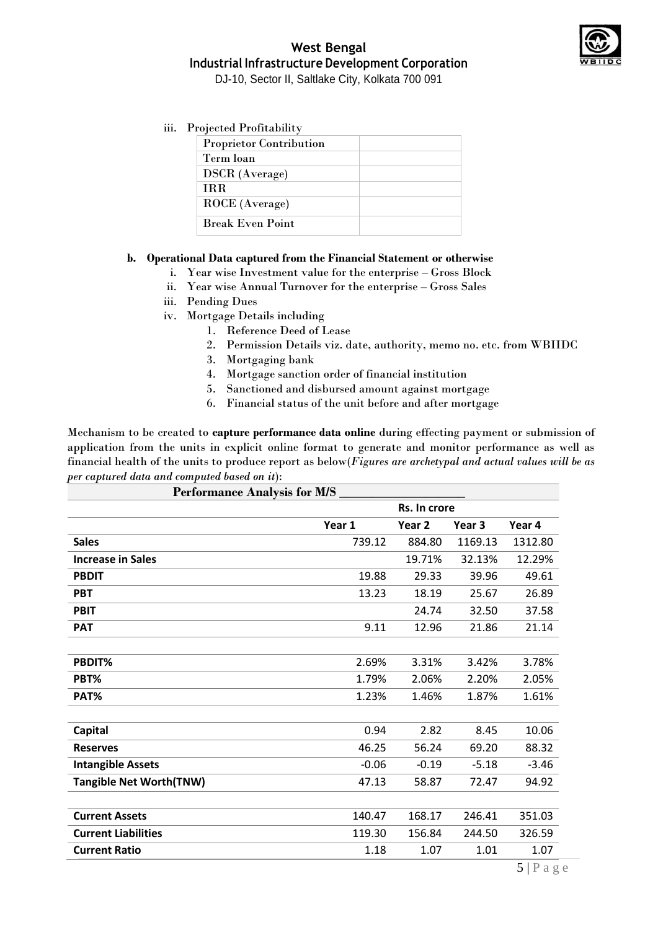

iii. Projected Profitability

| <b>Proprietor Contribution</b> |  |
|--------------------------------|--|
| Term loan                      |  |
| <b>DSCR</b> (Average)          |  |
| <b>TRR</b>                     |  |
| ROCE (Average)                 |  |
| <b>Break Even Point</b>        |  |

#### **b. Operational Data captured from the Financial Statement or otherwise**

- i. Year wise Investment value for the enterprise Gross Block
- ii. Year wise Annual Turnover for the enterprise Gross Sales
- iii. Pending Dues
- iv. Mortgage Details including
	- 1. Reference Deed of Lease
	- 2. Permission Details viz. date, authority, memo no. etc. from WBIIDC
	- 3. Mortgaging bank
	- 4. Mortgage sanction order of financial institution
	- 5. Sanctioned and disbursed amount against mortgage
	- 6. Financial status of the unit before and after mortgage

Mechanism to be created to **capture performance data online** during effecting payment or submission of application from the units in explicit online format to generate and monitor performance as well as financial health of the units to produce report as below(*Figures are archetypal and actual values will be as per captured data and computed based on it*):

| <b>Performance Analysis for M/S</b> |         |                   |                   |         |
|-------------------------------------|---------|-------------------|-------------------|---------|
|                                     |         | Rs. In crore      |                   |         |
|                                     | Year 1  | Year <sub>2</sub> | Year <sub>3</sub> | Year 4  |
| <b>Sales</b>                        | 739.12  | 884.80            | 1169.13           | 1312.80 |
| <b>Increase in Sales</b>            |         | 19.71%            | 32.13%            | 12.29%  |
| <b>PBDIT</b>                        | 19.88   | 29.33             | 39.96             | 49.61   |
| <b>PBT</b>                          | 13.23   | 18.19             | 25.67             | 26.89   |
| <b>PBIT</b>                         |         | 24.74             | 32.50             | 37.58   |
| <b>PAT</b>                          | 9.11    | 12.96             | 21.86             | 21.14   |
|                                     |         |                   |                   |         |
| PBDIT%                              | 2.69%   | 3.31%             | 3.42%             | 3.78%   |
| PBT%                                | 1.79%   | 2.06%             | 2.20%             | 2.05%   |
| PAT%                                | 1.23%   | 1.46%             | 1.87%             | 1.61%   |
|                                     |         |                   |                   |         |
| <b>Capital</b>                      | 0.94    | 2.82              | 8.45              | 10.06   |
| <b>Reserves</b>                     | 46.25   | 56.24             | 69.20             | 88.32   |
| <b>Intangible Assets</b>            | $-0.06$ | $-0.19$           | $-5.18$           | $-3.46$ |
| <b>Tangible Net Worth(TNW)</b>      | 47.13   | 58.87             | 72.47             | 94.92   |
|                                     |         |                   |                   |         |
| <b>Current Assets</b>               | 140.47  | 168.17            | 246.41            | 351.03  |
| <b>Current Liabilities</b>          | 119.30  | 156.84            | 244.50            | 326.59  |
| <b>Current Ratio</b>                | 1.18    | 1.07              | 1.01              | 1.07    |
|                                     |         |                   |                   | $-1$    |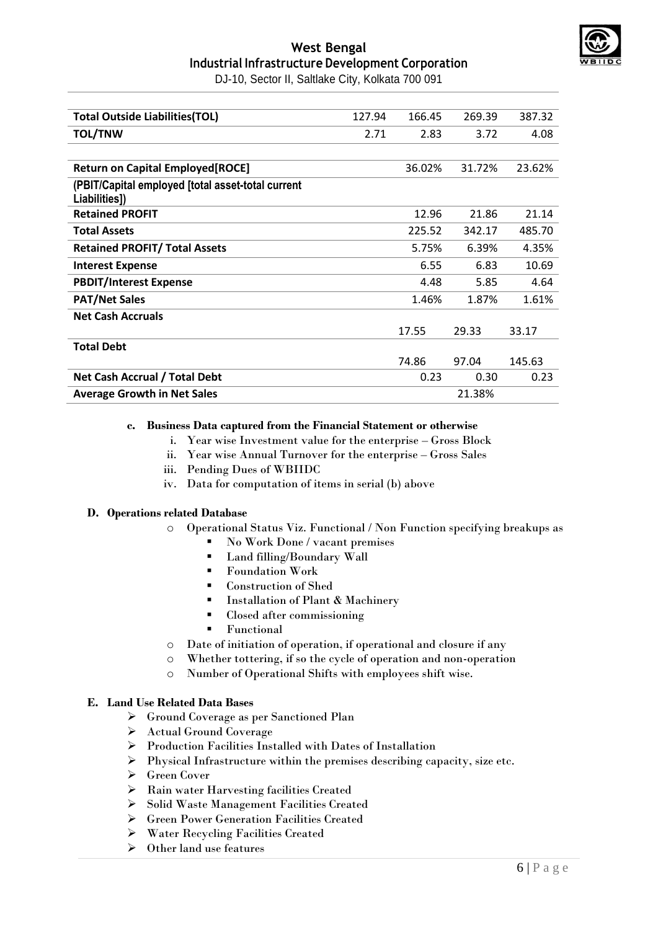

DJ-10, Sector II, Saltlake City, Kolkata 700 091

| <b>Total Outside Liabilities(TOL)</b>                              | 127.94 | 166.45 | 269.39 | 387.32 |
|--------------------------------------------------------------------|--------|--------|--------|--------|
| <b>TOL/TNW</b>                                                     | 2.71   | 2.83   | 3.72   | 4.08   |
|                                                                    |        |        |        |        |
| <b>Return on Capital Employed [ROCE]</b>                           |        | 36.02% | 31.72% | 23.62% |
| (PBIT/Capital employed [total asset-total current<br>Liabilities]) |        |        |        |        |
| <b>Retained PROFIT</b>                                             |        | 12.96  | 21.86  | 21.14  |
| <b>Total Assets</b>                                                |        | 225.52 | 342.17 | 485.70 |
| <b>Retained PROFIT/ Total Assets</b>                               |        | 5.75%  | 6.39%  | 4.35%  |
| <b>Interest Expense</b>                                            |        | 6.55   | 6.83   | 10.69  |
| <b>PBDIT/Interest Expense</b>                                      |        | 4.48   | 5.85   | 4.64   |
| <b>PAT/Net Sales</b>                                               |        | 1.46%  | 1.87%  | 1.61%  |
| <b>Net Cash Accruals</b>                                           |        |        |        |        |
|                                                                    |        | 17.55  | 29.33  | 33.17  |
| <b>Total Debt</b>                                                  |        |        |        |        |
|                                                                    |        | 74.86  | 97.04  | 145.63 |
| Net Cash Accrual / Total Debt                                      |        | 0.23   | 0.30   | 0.23   |
| <b>Average Growth in Net Sales</b>                                 |        |        | 21.38% |        |

#### **c. Business Data captured from the Financial Statement or otherwise**

- i. Year wise Investment value for the enterprise Gross Block
- ii. Year wise Annual Turnover for the enterprise Gross Sales
- iii. Pending Dues of WBIIDC
- iv. Data for computation of items in serial (b) above

#### **D. Operations related Database**

- o Operational Status Viz. Functional / Non Function specifying breakups as
	- No Work Done / vacant premises
	- Land filling/Boundary Wall
	- Foundation Work
	- Construction of Shed
	- **Installation of Plant & Machinery**
	- Closed after commissioning
	- Functional
- o Date of initiation of operation, if operational and closure if any
- o Whether tottering, if so the cycle of operation and non-operation
- o Number of Operational Shifts with employees shift wise.

#### **E. Land Use Related Data Bases**

- Ground Coverage as per Sanctioned Plan
- Actual Ground Coverage
- Production Facilities Installed with Dates of Installation
- $\triangleright$  Physical Infrastructure within the premises describing capacity, size etc.
- Green Cover
- Rain water Harvesting facilities Created
- Solid Waste Management Facilities Created
- Green Power Generation Facilities Created
- Water Recycling Facilities Created
- $\triangleright$  Other land use features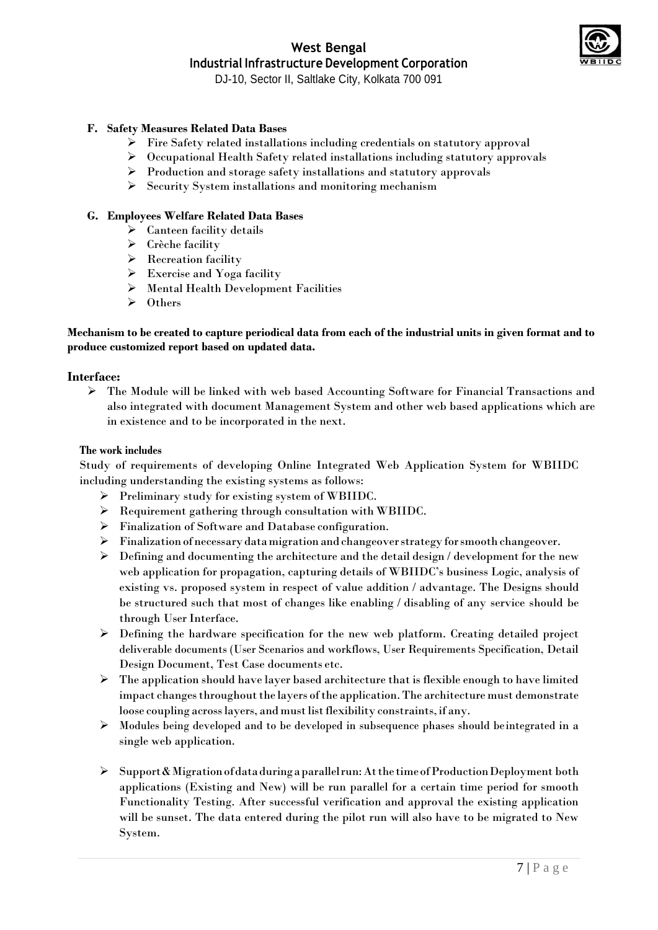

DJ-10, Sector II, Saltlake City, Kolkata 700 091

#### **F. Safety Measures Related Data Bases**

- Fire Safety related installations including credentials on statutory approval
- Occupational Health Safety related installations including statutory approvals
- $\triangleright$  Production and storage safety installations and statutory approvals
- $\triangleright$  Security System installations and monitoring mechanism

#### **G. Employees Welfare Related Data Bases**

- $\triangleright$  Canteen facility details
- $\triangleright$  Crèche facility
- $\triangleright$  Recreation facility
- $\triangleright$  Exercise and Yoga facility
- Mental Health Development Facilities
- **≻** Others

#### **Mechanism to be created to capture periodical data from each of the industrial units in given format and to produce customized report based on updated data.**

#### **Interface:**

 The Module will be linked with web based Accounting Software for Financial Transactions and also integrated with document Management System and other web based applications which are in existence and to be incorporated in the next.

#### **The work includes**

Study of requirements of developing Online Integrated Web Application System for WBIIDC including understanding the existing systems as follows:

- Preliminary study for existing system of WBIIDC.
- Requirement gathering through consultation with WBIIDC.
- Finalization of Software and Database configuration.
- Finalization of necessarydatamigration and changeoverstrategy forsmooth changeover.
- $\triangleright$  Defining and documenting the architecture and the detail design / development for the new web application for propagation, capturing details of WBIIDC's business Logic, analysis of existing vs. proposed system in respect of value addition / advantage. The Designs should be structured such that most of changes like enabling / disabling of any service should be through User Interface.
- Defining the hardware specification for the new web platform. Creating detailed project deliverable documents (User Scenarios and workflows, User Requirements Specification, Detail Design Document, Test Case documents etc.
- $\triangleright$  The application should have layer based architecture that is flexible enough to have limited impact changes throughout the layers of the application. The architecture must demonstrate loose coupling across layers, and must list flexibility constraints, if any.
- $\triangleright$  Modules being developed and to be developed in subsequence phases should be integrated in a single web application.
- $\triangleright$  Support & Migration of data during a parallel run: At the time of Production Deployment both applications (Existing and New) will be run parallel for a certain time period for smooth Functionality Testing. After successful verification and approval the existing application will be sunset. The data entered during the pilot run will also have to be migrated to New System.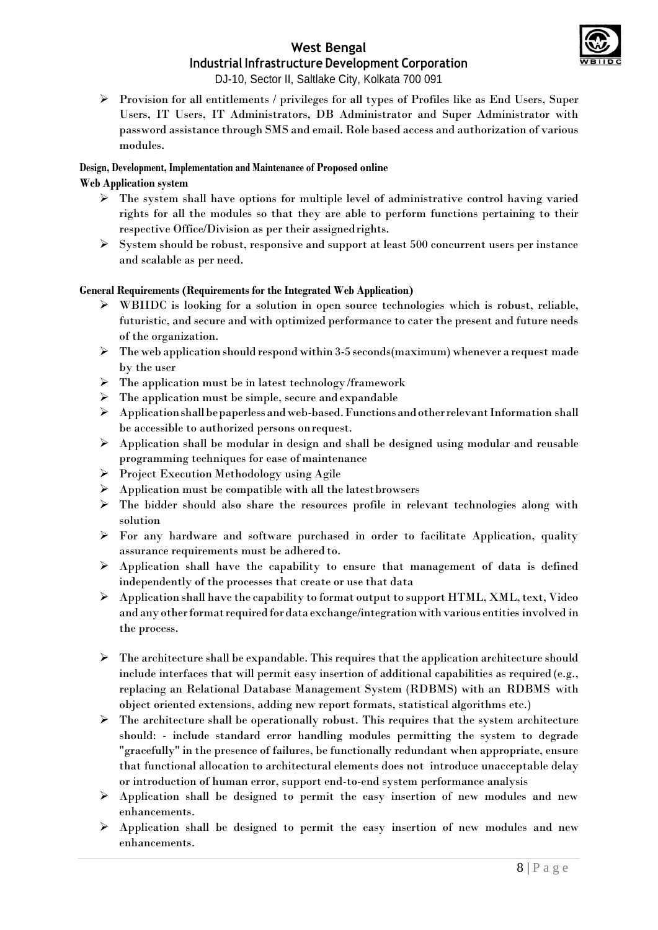

DJ-10, Sector II, Saltlake City, Kolkata 700 091

 $\triangleright$  Provision for all entitlements / privileges for all types of Profiles like as End Users, Super Users, IT Users, IT Administrators, DB Administrator and Super Administrator with password assistance through SMS and email. Role based access and authorization of various modules.

### **Design, Development, Implementation and Maintenance of Proposed online**

### **Web Application system**

- $\triangleright$  The system shall have options for multiple level of administrative control having varied rights for all the modules so that they are able to perform functions pertaining to their respective Office/Division as per their assignedrights.
- $\triangleright$  System should be robust, responsive and support at least 500 concurrent users per instance and scalable as per need.

#### **General Requirements (Requirements for the Integrated Web Application)**

- WBIIDC is looking for a solution in open source technologies which is robust, reliable, futuristic, and secure and with optimized performance to cater the present and future needs of the organization.
- $\triangleright$  The web application should respond within 3-5 seconds(maximum) whenever a request made by the user
- $\triangleright$  The application must be in latest technology/framework
- $\triangleright$  The application must be simple, secure and expandable
- $\triangleright$  Application shall be paperless and web-based. Functions and other relevant Information shall be accessible to authorized persons onrequest.
- $\triangleright$  Application shall be modular in design and shall be designed using modular and reusable programming techniques for ease of maintenance
- $\triangleright$  Project Execution Methodology using Agile
- $\triangleright$  Application must be compatible with all the latest browsers
- $\triangleright$  The bidder should also share the resources profile in relevant technologies along with solution
- $\triangleright$  For any hardware and software purchased in order to facilitate Application, quality assurance requirements must be adhered to.
- Application shall have the capability to ensure that management of data is defined independently of the processes that create or use that data
- Application shall have the capability to format output to support HTML, XML, text, Video and any other format required for data exchange/integration with various entities involved in the process.
- $\triangleright$  The architecture shall be expandable. This requires that the application architecture should include interfaces that will permit easy insertion of additional capabilities as required (e.g., replacing an Relational Database Management System (RDBMS) with an RDBMS with object oriented extensions, adding new report formats, statistical algorithms etc.)
- $\triangleright$  The architecture shall be operationally robust. This requires that the system architecture should: - include standard error handling modules permitting the system to degrade "gracefully" in the presence of failures, be functionally redundant when appropriate, ensure that functional allocation to architectural elements does not introduce unacceptable delay or introduction of human error, support end-to-end system performance analysis
- $\triangleright$  Application shall be designed to permit the easy insertion of new modules and new enhancements.
- $\triangleright$  Application shall be designed to permit the easy insertion of new modules and new enhancements.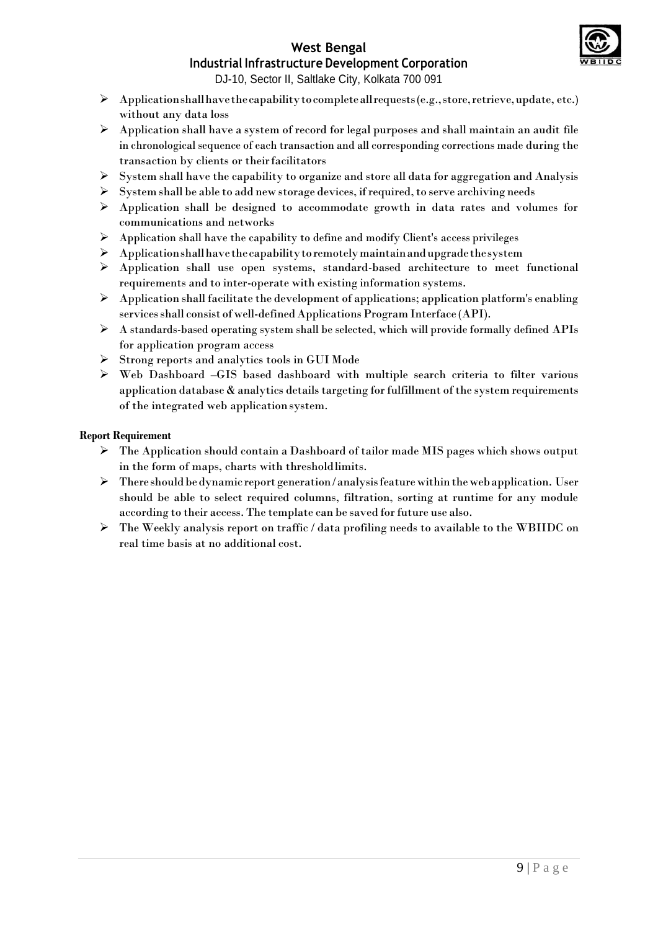

## **West Bengal**

## **Industrial Infrastructure Development Corporation**

DJ-10, Sector II, Saltlake City, Kolkata 700 091

- $\triangleright$  Application shall have the capability to complete all requests (e.g., store, retrieve, update, etc.) without any data loss
- $\triangleright$  Application shall have a system of record for legal purposes and shall maintain an audit file in chronological sequence of each transaction and all corresponding corrections made during the transaction by clients or theirfacilitators
- $\triangleright$  System shall have the capability to organize and store all data for aggregation and Analysis
- $\triangleright$  System shall be able to add new storage devices, if required, to serve archiving needs
- Application shall be designed to accommodate growth in data rates and volumes for communications and networks
- $\triangleright$  Application shall have the capability to define and modify Client's access privileges
- $\triangleright$  Applicationshall have the capability to remotely maintain and upgrade the system
- $\triangleright$  Application shall use open systems, standard-based architecture to meet functional requirements and to inter-operate with existing information systems.
- $\triangleright$  Application shall facilitate the development of applications; application platform's enabling services shall consist of well-defined Applications Program Interface (API).
- $\triangleright$  A standards-based operating system shall be selected, which will provide formally defined APIs for application program access
- $\triangleright$  Strong reports and analytics tools in GUI Mode
- Web Dashboard –GIS based dashboard with multiple search criteria to filter various application database  $\&$  analytics details targeting for fulfillment of the system requirements of the integrated web applicationsystem.

#### **Report Requirement**

- The Application should contain a Dashboard of tailor made MIS pages which shows output in the form of maps, charts with thresholdlimits.
- $\triangleright$  There should be dynamic report generation/analysis feature within the web application. User should be able to select required columns, filtration, sorting at runtime for any module according to their access. The template can be saved for future use also.
- The Weekly analysis report on traffic / data profiling needs to available to the WBIIDC on real time basis at no additional cost.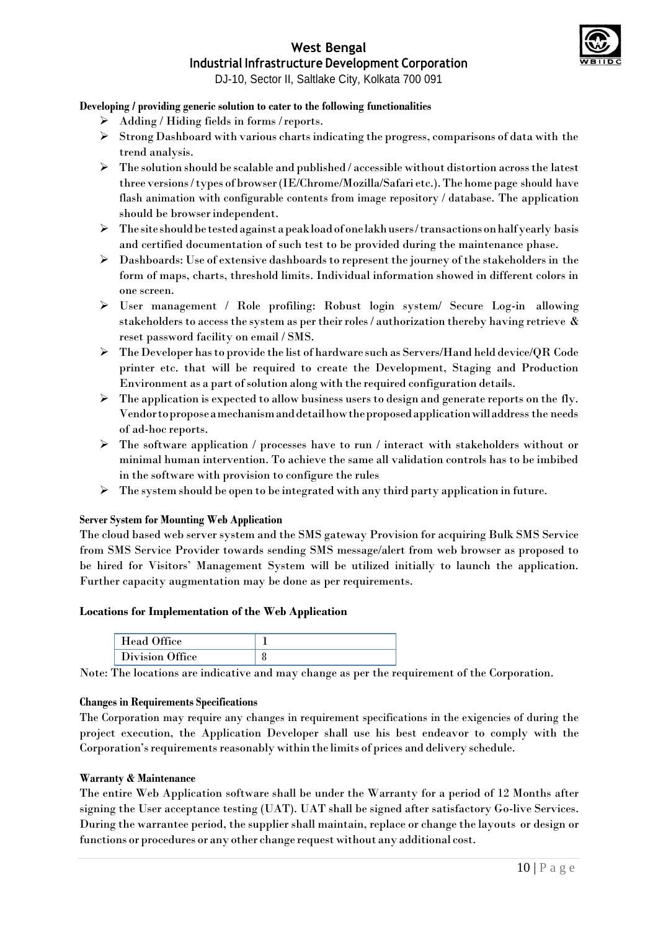

DJ-10, Sector II, Saltlake City, Kolkata 700 091

#### **Developing / providing generic solution to cater to the following functionalities**

- $\triangleright$  Adding / Hiding fields in forms / reports.
- $\triangleright$  Strong Dashboard with various charts indicating the progress, comparisons of data with the trend analysis.
- $\triangleright$  The solution should be scalable and published / accessible without distortion across the latest three versions/types of browser (IE/Chrome/Mozilla/Safari etc.). The home page should have flash animation with configurable contents from image repository / database. The application should be browserindependent.
- $\triangleright$  The site should be tested against a peak load of one lakh users/transactions on half yearly basis and certified documentation of such test to be provided during the maintenance phase.
- $\triangleright$  Dashboards: Use of extensive dashboards to represent the journey of the stakeholders in the form of maps, charts, threshold limits. Individual information showed in different colors in one screen.
- User management / Role profiling: Robust login system/ Secure Log-in allowing stakeholders to access the system as per their roles / authorization thereby having retrieve & reset password facility on email / SMS.
- $\triangleright$  The Developer has to provide the list of hardware such as Servers/Hand held device/QR Code printer etc. that will be required to create the Development, Staging and Production Environment as a part of solution along with the required configuration details.
- $\triangleright$  The application is expected to allow business users to design and generate reports on the fly. Vendortoproposeamechanismanddetailhowtheproposedapplicationwilladdress the needs of ad-hoc reports.
- $\triangleright$  The software application / processes have to run / interact with stakeholders without or minimal human intervention. To achieve the same all validation controls has to be imbibed in the software with provision to configure the rules
- $\triangleright$  The system should be open to be integrated with any third party application in future.

#### **Server System for Mounting Web Application**

The cloud based web server system and the SMS gateway Provision for acquiring Bulk SMS Service from SMS Service Provider towards sending SMS message/alert from web browser as proposed to be hired for Visitors' Management System will be utilized initially to launch the application. Further capacity augmentation may be done as per requirements.

#### **Locations for Implementation of the Web Application**

| Head<br>. Uttice |  |
|------------------|--|
| Division Office  |  |

Note: The locations are indicative and may change as per the requirement of the Corporation.

#### **Changes in Requirements Specifications**

The Corporation may require any changes in requirement specifications in the exigencies of during the project execution, the Application Developer shall use his best endeavor to comply with the Corporation's requirements reasonably within the limits of prices and delivery schedule.

#### **Warranty & Maintenance**

The entire Web Application software shall be under the Warranty for a period of 12 Months after signing the User acceptance testing (UAT). UAT shall be signed after satisfactory Go-live Services. During the warrantee period, the supplier shall maintain, replace or change the layouts or design or functions or procedures or any other change request without any additional cost.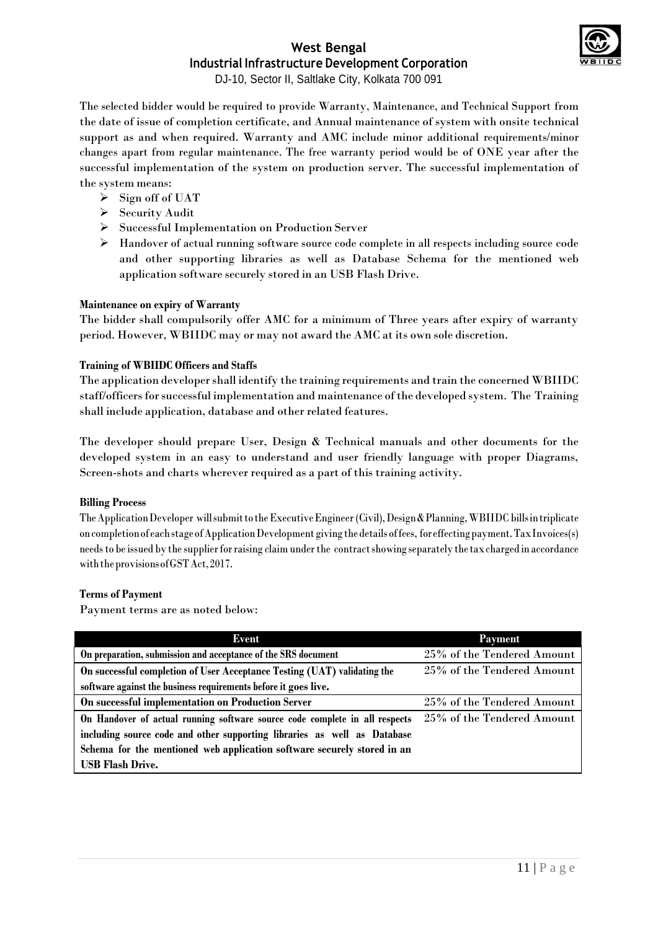

DJ-10, Sector II, Saltlake City, Kolkata 700 091

The selected bidder would be required to provide Warranty, Maintenance, and Technical Support from the date of issue of completion certificate, and Annual maintenance of system with onsite technical support as and when required. Warranty and AMC include minor additional requirements/minor changes apart from regular maintenance. The free warranty period would be of ONE year after the successful implementation of the system on production server. The successful implementation of the system means:

- $\triangleright$  Sign off of UAT
- > Security Audit
- Successful Implementation on Production Server
- Handover of actual running software source code complete in all respects including source code and other supporting libraries as well as Database Schema for the mentioned web application software securely stored in an USB Flash Drive.

#### **Maintenance on expiry of Warranty**

The bidder shall compulsorily offer AMC for a minimum of Three years after expiry of warranty period. However, WBIIDC may or may not award the AMC at its own sole discretion.

#### **Training of WBIIDC Officers and Staffs**

The application developer shall identify the training requirements and train the concerned WBIIDC staff/officers for successful implementation and maintenance of the developed system. The Training shall include application, database and other related features.

The developer should prepare User, Design & Technical manuals and other documents for the developed system in an easy to understand and user friendly language with proper Diagrams, Screen-shots and charts wherever required as a part of this training activity.

#### **Billing Process**

TheApplicationDeveloper willsubmittotheExecutiveEngineer (Civil),Design&Planning,WBIIDC billsintriplicate oncompletionof eachstageofApplicationDevelopment giving the details offees, foreffectingpayment.TaxInvoices(s) needsto be issued by the supplierforraising claim underthe contractshowing separately the taxcharged in accordance withtheprovisionsofGSTAct,2017.

#### **Terms of Payment**

Payment terms are as noted below:

| Event                                                                       | <b>Payment</b>             |
|-----------------------------------------------------------------------------|----------------------------|
| On preparation, submission and acceptance of the SRS document               | 25% of the Tendered Amount |
| On successful completion of User Acceptance Testing (UAT) validating the    | 25% of the Tendered Amount |
| software against the business requirements before it goes live.             |                            |
| On successful implementation on Production Server                           | 25% of the Tendered Amount |
| On Handover of actual running software source code complete in all respects | 25% of the Tendered Amount |
| including source code and other supporting libraries as well as Database    |                            |
| Schema for the mentioned web application software securely stored in an     |                            |
| <b>USB Flash Drive.</b>                                                     |                            |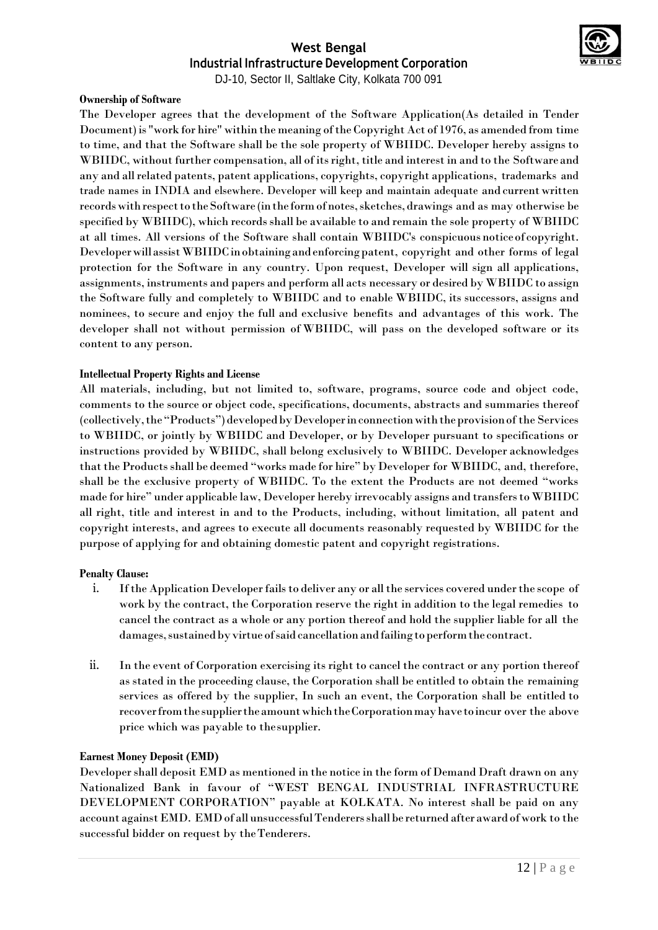

DJ-10, Sector II, Saltlake City, Kolkata 700 091

#### **Ownership of Software**

The Developer agrees that the development of the Software Application(As detailed in Tender Document) is "work for hire" within the meaning of the Copyright Act of 1976, as amended from time to time, and that the Software shall be the sole property of WBIIDC. Developer hereby assigns to WBIIDC, without further compensation, all of its right, title and interest in and to the Software and any and allrelated patents, patent applications, copyrights, copyright applications, trademarks and trade names in INDIA and elsewhere. Developer will keep and maintain adequate and current written records with respect to the Software (in the form of notes, sketches, drawings and as may otherwise be specified by WBIIDC), which records shall be available to and remain the sole property of WBIIDC at all times. All versions of the Software shall contain WBIIDC's conspicuous noticeof copyright. DeveloperwillassistWBIIDCinobtainingandenforcingpatent, copyright and other forms of legal protection for the Software in any country. Upon request, Developer will sign all applications, assignments, instruments and papers and perform all acts necessary or desired by WBIIDC to assign the Software fully and completely to WBIIDC and to enable WBIIDC, its successors, assigns and nominees, to secure and enjoy the full and exclusive benefits and advantages of this work. The developer shall not without permission of WBIIDC, will pass on the developed software or its content to any person.

#### **Intellectual Property Rights and License**

All materials, including, but not limited to, software, programs, source code and object code, comments to the source or object code, specifications, documents, abstracts and summaries thereof (collectively, the "Products") developed by Developer in connection with the provision of the Services to WBIIDC, or jointly by WBIIDC and Developer, or by Developer pursuant to specifications or instructions provided by WBIIDC, shall belong exclusively to WBIIDC. Developer acknowledges that the Products shall be deemed "works made for hire" by Developer for WBIIDC, and, therefore, shall be the exclusive property of WBIIDC. To the extent the Products are not deemed "works made for hire" under applicable law, Developer hereby irrevocably assigns and transfersto WBIIDC all right, title and interest in and to the Products, including, without limitation, all patent and copyright interests, and agrees to execute all documents reasonably requested by WBIIDC for the purpose of applying for and obtaining domestic patent and copyright registrations.

#### **Penalty Clause:**

- i. If the Application Developer fails to deliver any or all the services covered under the scope of work by the contract, the Corporation reserve the right in addition to the legal remedies to cancel the contract as a whole or any portion thereof and hold the supplier liable for all the damages, sustained by virtue of said cancellation and failing to perform the contract.
- ii. In the event of Corporation exercising its right to cancel the contract or any portion thereof as stated in the proceeding clause, the Corporation shall be entitled to obtain the remaining services as offered by the supplier, In such an event, the Corporation shall be entitled to recoverfromthesuppliertheamountwhichtheCorporationmayhavetoincur over the above price which was payable to thesupplier.

#### **Earnest Money Deposit (EMD)**

Developershall deposit EMD as mentioned in the notice in the form of Demand Draft drawn on any Nationalized Bank in favour of "WEST BENGAL INDUSTRIAL INFRASTRUCTURE DEVELOPMENT CORPORATION" payable at KOLKATA. No interest shall be paid on any account againstEMD. EMDof all unsuccessfulTenderersshallbe returned after award of work to the successful bidder on request by theTenderers.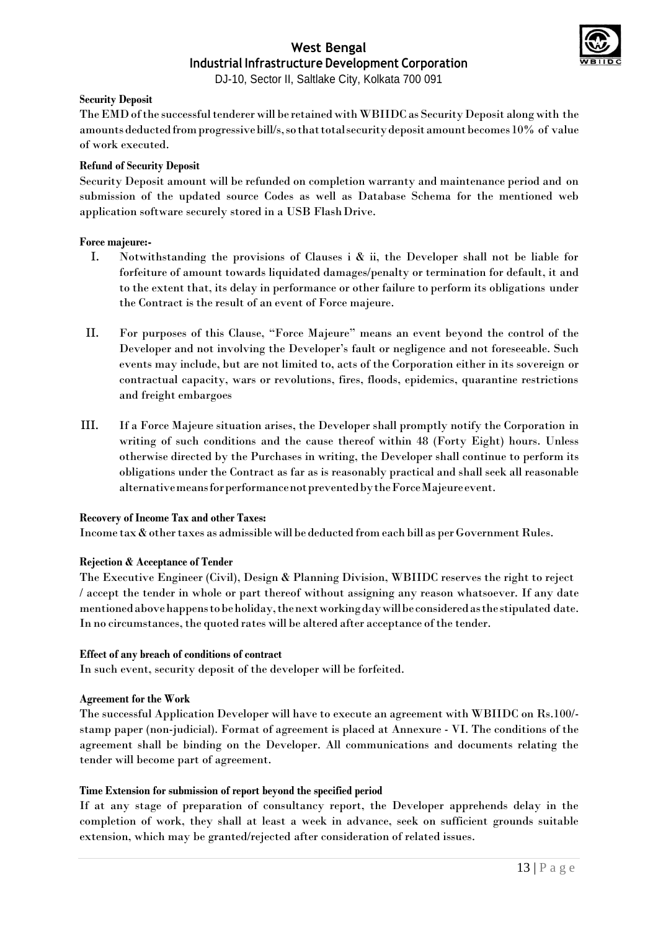

DJ-10, Sector II, Saltlake City, Kolkata 700 091

#### **Security Deposit**

TheEMDofthe successfultenderer will be retained withWBIIDC as SecurityDeposit along with the amounts deducted from progressive bill/s, so that total security deposit amount becomes  $10\%$  of value of work executed.

#### **Refund of Security Deposit**

Security Deposit amount will be refunded on completion warranty and maintenance period and on submission of the updated source Codes as well as Database Schema for the mentioned web application software securely stored in a USB FlashDrive.

#### **Force majeure:-**

- I. Notwithstanding the provisions of Clauses i & ii, the Developer shall not be liable for forfeiture of amount towards liquidated damages/penalty or termination for default, it and to the extent that, its delay in performance or other failure to perform its obligations under the Contract is the result of an event of Force majeure.
- II. For purposes of this Clause, "Force Majeure" means an event beyond the control of the Developer and not involving the Developer's fault or negligence and not foreseeable. Such events may include, but are not limited to, acts of the Corporation either in its sovereign or contractual capacity, wars or revolutions, fires, floods, epidemics, quarantine restrictions and freight embargoes
- III. If a Force Majeure situation arises, the Developer shall promptly notify the Corporation in writing of such conditions and the cause thereof within 48 (Forty Eight) hours. Unless otherwise directed by the Purchases in writing, the Developer shall continue to perform its obligations under the Contract as far as is reasonably practical and shall seek all reasonable alternativemeansforperformancenotpreventedbytheForceMajeureevent.

#### **Recovery of Income Tax and other Taxes:**

Income  $\text{tax}\,\&\,\text{other}\,\text{taxes}$  as admissible will be deducted from each bill as per Government Rules.

#### **Rejection & Acceptance of Tender**

The Executive Engineer (Civil), Design & Planning Division, WBIIDC reserves the right to reject / accept the tender in whole or part thereof without assigning any reason whatsoever. If any date mentionedabovehappenstobeholiday,thenextworkingdaywillbeconsideredasthe stipulated date. In no circumstances, the quoted rates will be altered after acceptance of the tender.

#### **Effect of any breach of conditions of contract**

In such event, security deposit of the developer will be forfeited.

#### **Agreement for the Work**

The successful Application Developer will have to execute an agreement with WBIIDC on Rs.100/ stamp paper (non-judicial). Format of agreement is placed at Annexure - VI. The conditions of the agreement shall be binding on the Developer. All communications and documents relating the tender will become part of agreement.

#### **Time Extension for submission of report beyond the specified period**

If at any stage of preparation of consultancy report, the Developer apprehends delay in the completion of work, they shall at least a week in advance, seek on sufficient grounds suitable extension, which may be granted/rejected after consideration of related issues.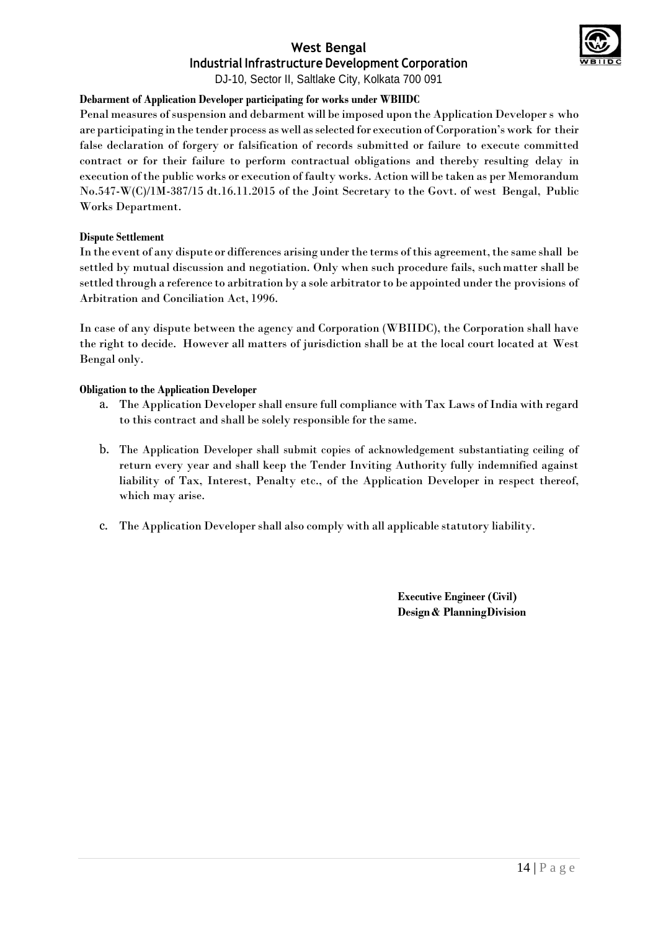

#### **Debarment of Application Developer participating for works under WBIIDC**

Penal measures of suspension and debarment will be imposed upon the Application Developer s who are participating in the tender process as well asselected for execution of Corporation's work for their false declaration of forgery or falsification of records submitted or failure to execute committed contract or for their failure to perform contractual obligations and thereby resulting delay in execution ofthe public works or execution of faulty works. Action will be taken as per Memorandum No.547-W(C)/1M-387/15 dt.16.11.2015 of the Joint Secretary to the Govt. of west Bengal, Public Works Department.

#### **Dispute Settlement**

In the event of any dispute or differences arising under the terms of this agreement, the same shall be settled by mutual discussion and negotiation. Only when such procedure fails, suchmatter shall be settled through a reference to arbitration by a sole arbitrator to be appointed under the provisions of Arbitration and Conciliation Act, 1996.

In case of any dispute between the agency and Corporation (WBIIDC), the Corporation shall have the right to decide. However all matters of jurisdiction shall be at the local court located at West Bengal only.

#### **Obligation to the Application Developer**

- a. The Application Developer shall ensure full compliance with Tax Laws of India with regard to this contract and shall be solely responsible for the same.
- b. The Application Developer shall submit copies of acknowledgement substantiating ceiling of return every year and shall keep the Tender Inviting Authority fully indemnified against liability of Tax, Interest, Penalty etc., of the Application Developer in respect thereof, which may arise.
- c. The Application Developer shall also comply with all applicable statutory liability.

**Executive Engineer (Civil) Design & PlanningDivision**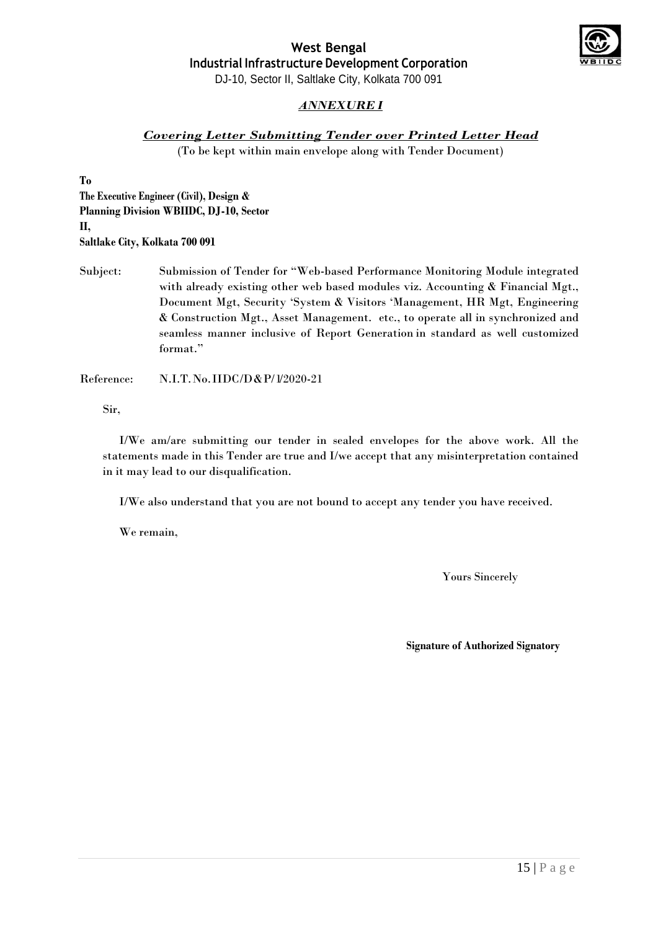

*ANNEXURE I*

#### *Covering Letter Submitting Tender over Printed Letter Head*

(To be kept within main envelope along with Tender Document)

**To**

**The Executive Engineer (Civil), Design & Planning Division WBIIDC, DJ-10, Sector II, Saltlake City, Kolkata 700 091**

Subject: Submission of Tender for "Web-based Performance Monitoring Module integrated with already existing other web based modules viz. Accounting & Financial Mgt., Document Mgt, Security 'System & Visitors 'Management, HR Mgt, Engineering & Construction Mgt., Asset Management. etc., to operate all in synchronized and seamless manner inclusive of Report Generation in standard as well customized format."

Reference: N.I.T.No.IIDC/D&P/1/2020-21

Sir,

I/We am/are submitting our tender in sealed envelopes for the above work. All the statements made in this Tender are true and I/we accept that any misinterpretation contained in it may lead to our disqualification.

I/We also understand that you are not bound to accept any tender you have received.

We remain,

Yours Sincerely

**Signature of Authorized Signatory**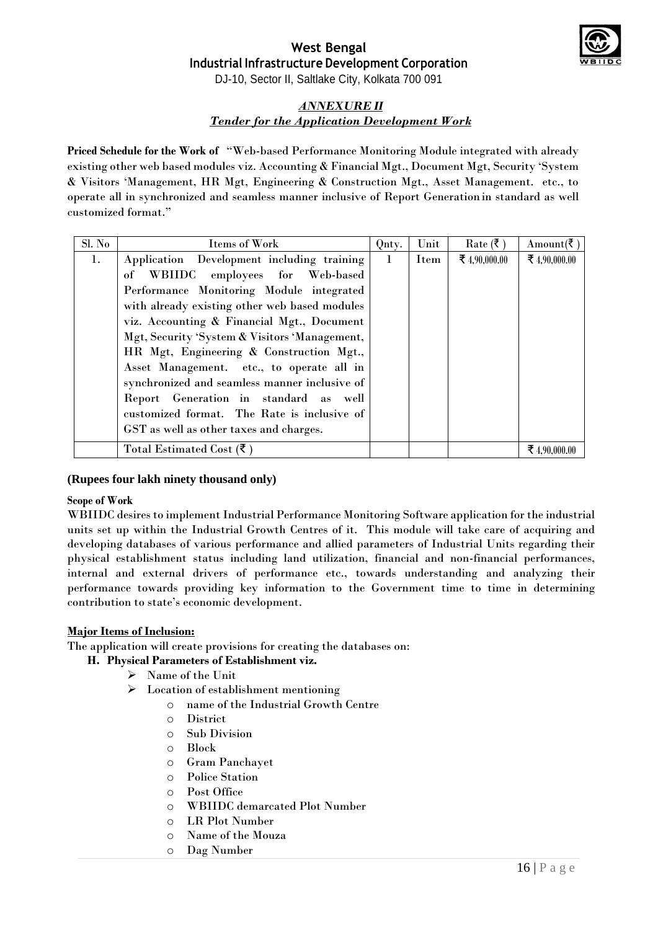

DJ-10, Sector II, Saltlake City, Kolkata 700 091

### *ANNEXURE II Tender for the Application Development Work*

**Priced Schedule for the Work of** "Web-based Performance Monitoring Module integrated with already existing other web based modules viz. Accounting & Financial Mgt., Document Mgt, Security 'System & Visitors 'Management, HR Mgt, Engineering & Construction Mgt., Asset Management. etc., to operate all in synchronized and seamless manner inclusive of Report Generation in standard as well customized format."

| Sl. No | Items of Work                                 | Qnty.        | Unit | $Rate$ (₹)    | Amount(₹      |
|--------|-----------------------------------------------|--------------|------|---------------|---------------|
| 1.     | Application Development including training    | $\mathbf{1}$ | Item | ₹ 4,90,000.00 | ₹ 4,90,000.00 |
|        | of WBIIDC employees for Web-based             |              |      |               |               |
|        | Performance Monitoring Module integrated      |              |      |               |               |
|        | with already existing other web based modules |              |      |               |               |
|        | viz. Accounting & Financial Mgt., Document    |              |      |               |               |
|        | Mgt, Security 'System & Visitors 'Management, |              |      |               |               |
|        | HR Mgt, Engineering & Construction Mgt.,      |              |      |               |               |
|        | Asset Management. etc., to operate all in     |              |      |               |               |
|        | synchronized and seamless manner inclusive of |              |      |               |               |
|        | Report Generation in standard as well         |              |      |               |               |
|        | customized format. The Rate is inclusive of   |              |      |               |               |
|        | GST as well as other taxes and charges.       |              |      |               |               |
|        | Total Estimated Cost $(\mathbf{\bar{z}})$     |              |      |               | ₹ 4.90.000.00 |

#### **(Rupees four lakh ninety thousand only)**

#### **Scope of Work**

WBIIDC desires to implement Industrial Performance Monitoring Software application for the industrial units set up within the Industrial Growth Centres of it. This module will take care of acquiring and developing databases of various performance and allied parameters of Industrial Units regarding their physical establishment status including land utilization, financial and non-financial performances, internal and external drivers of performance etc., towards understanding and analyzing their performance towards providing key information to the Government time to time in determining contribution to state's economic development.

#### **Major Items of Inclusion:**

The application will create provisions for creating the databases on:

#### **H. Physical Parameters of Establishment viz.**

- Name of the Unit
- Location of establishment mentioning
	- o name of the Industrial Growth Centre
	- o District
	- o Sub Division
	- o Block
	- o Gram Panchayet
	- o Police Station
	- o Post Office
	- o WBIIDC demarcated Plot Number
	- o LR Plot Number
	- o Name of the Mouza
	- o Dag Number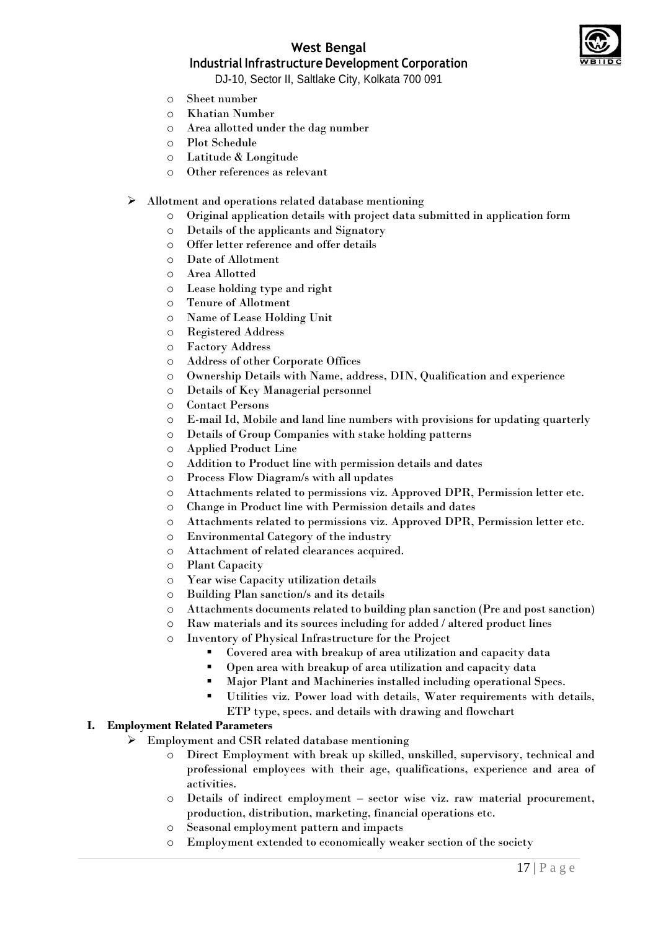



## **Industrial Infrastructure Development Corporation**

DJ-10, Sector II, Saltlake City, Kolkata 700 091

- o Sheet number
- o Khatian Number
- o Area allotted under the dag number
- o Plot Schedule
- o Latitude & Longitude
- o Other references as relevant

#### Allotment and operations related database mentioning

- o Original application details with project data submitted in application form
- o Details of the applicants and Signatory
- o Offer letter reference and offer details
- o Date of Allotment
- o Area Allotted
- o Lease holding type and right
- o Tenure of Allotment
- o Name of Lease Holding Unit
- o Registered Address
- o Factory Address
- o Address of other Corporate Offices
- o Ownership Details with Name, address, DIN, Qualification and experience
- o Details of Key Managerial personnel
- o Contact Persons
- o E-mail Id, Mobile and land line numbers with provisions for updating quarterly
- o Details of Group Companies with stake holding patterns
- o Applied Product Line
- o Addition to Product line with permission details and dates
- o Process Flow Diagram/s with all updates
- o Attachments related to permissions viz. Approved DPR, Permission letter etc.
- o Change in Product line with Permission details and dates
- o Attachments related to permissions viz. Approved DPR, Permission letter etc.
- o Environmental Category of the industry
- o Attachment of related clearances acquired.
- o Plant Capacity
- o Year wise Capacity utilization details
- o Building Plan sanction/s and its details
- o Attachments documents related to building plan sanction (Pre and post sanction)
- o Raw materials and its sources including for added / altered product lines
- o Inventory of Physical Infrastructure for the Project
	- Covered area with breakup of area utilization and capacity data
	- Open area with breakup of area utilization and capacity data
	- Major Plant and Machineries installed including operational Specs.
	- Utilities viz. Power load with details, Water requirements with details, ETP type, specs. and details with drawing and flowchart

## **I. Employment Related Parameters**

- Employment and CSR related database mentioning
	- Direct Employment with break up skilled, unskilled, supervisory, technical and professional employees with their age, qualifications, experience and area of activities.
	- o Details of indirect employment sector wise viz. raw material procurement, production, distribution, marketing, financial operations etc.
	- o Seasonal employment pattern and impacts
	- Employment extended to economically weaker section of the society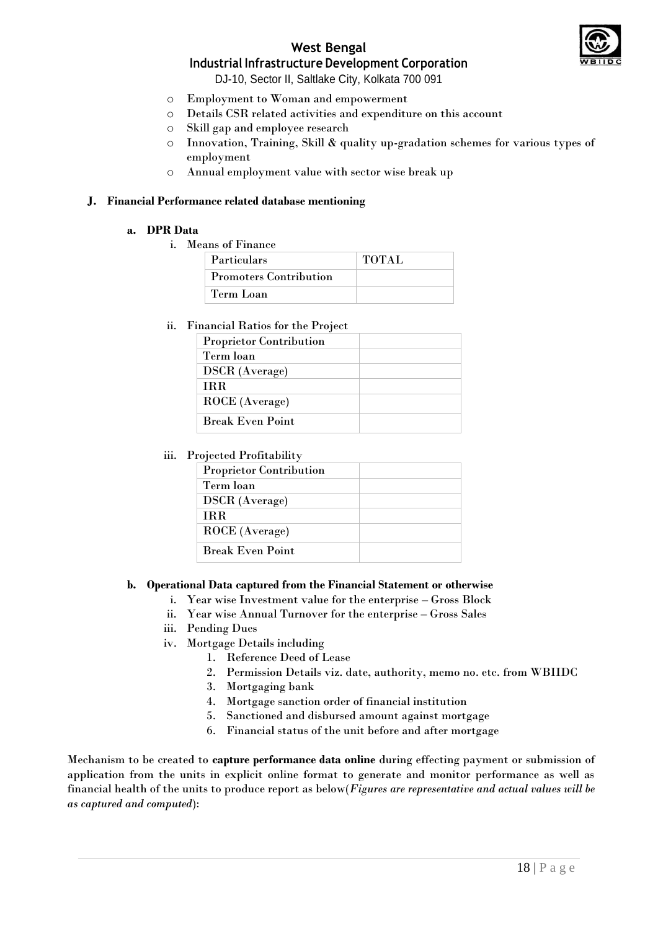

## **West Bengal**

## **Industrial Infrastructure Development Corporation**

DJ-10, Sector II, Saltlake City, Kolkata 700 091

- o Employment to Woman and empowerment
- o Details CSR related activities and expenditure on this account
- o Skill gap and employee research
- o Innovation, Training, Skill & quality up-gradation schemes for various types of employment
- o Annual employment value with sector wise break up

#### **J. Financial Performance related database mentioning**

#### **a. DPR Data**

i. Means of Finance

| <b>Particulars</b>            | <b>TOTAL</b> |
|-------------------------------|--------------|
| <b>Promoters Contribution</b> |              |
| Term Loan                     |              |

#### ii. Financial Ratios for the Project

| <b>Proprietor Contribution</b> |  |
|--------------------------------|--|
| Term loan                      |  |
| <b>DSCR</b> (Average)          |  |
| <b>TRR</b>                     |  |
| ROCE (Average)                 |  |
| <b>Break Even Point</b>        |  |

#### iii. Projected Profitability

| <b>Proprietor Contribution</b> |  |
|--------------------------------|--|
| Term loan                      |  |
| <b>DSCR</b> (Average)          |  |
| <b>TRR</b>                     |  |
| ROCE (Average)                 |  |
| <b>Break Even Point</b>        |  |

#### **b. Operational Data captured from the Financial Statement or otherwise**

- i. Year wise Investment value for the enterprise Gross Block
- ii. Year wise Annual Turnover for the enterprise Gross Sales
- iii. Pending Dues
- iv. Mortgage Details including
	- 1. Reference Deed of Lease
	- 2. Permission Details viz. date, authority, memo no. etc. from WBIIDC
	- 3. Mortgaging bank
	- 4. Mortgage sanction order of financial institution
	- 5. Sanctioned and disbursed amount against mortgage
	- 6. Financial status of the unit before and after mortgage

Mechanism to be created to **capture performance data online** during effecting payment or submission of application from the units in explicit online format to generate and monitor performance as well as financial health of the units to produce report as below(*Figures are representative and actual values will be as captured and computed*):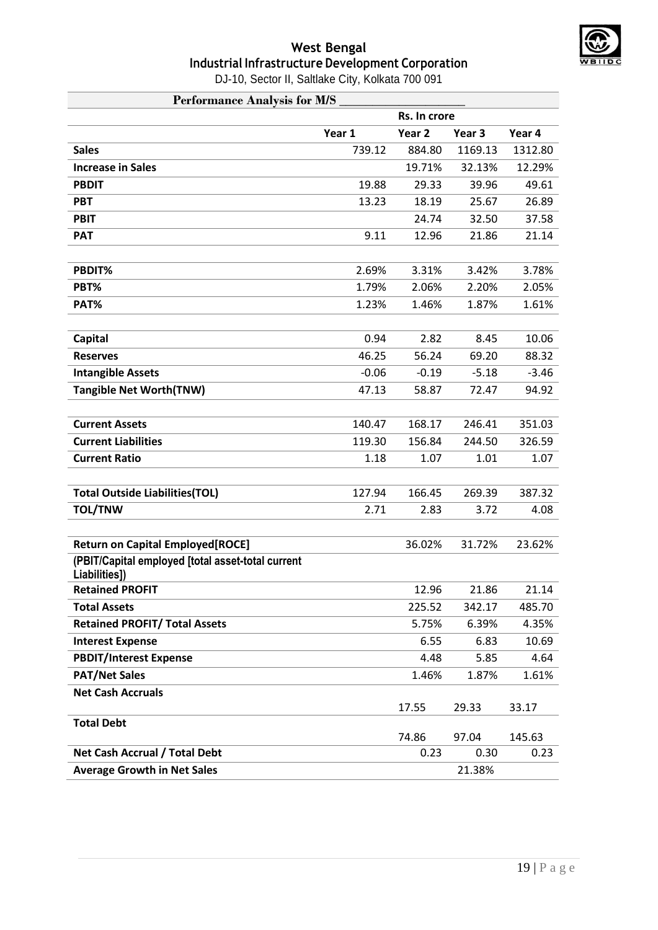

DJ-10, Sector II, Saltlake City, Kolkata 700 091

| <b>Performance Analysis for M/S</b>                                |         |                   |                   |                |  |  |
|--------------------------------------------------------------------|---------|-------------------|-------------------|----------------|--|--|
|                                                                    |         | Rs. In crore      |                   |                |  |  |
|                                                                    | Year 1  | Year <sub>2</sub> | Year <sub>3</sub> | Year 4         |  |  |
| <b>Sales</b>                                                       | 739.12  | 884.80            | 1169.13           | 1312.80        |  |  |
| <b>Increase in Sales</b>                                           |         | 19.71%            | 32.13%            | 12.29%         |  |  |
| <b>PBDIT</b>                                                       | 19.88   | 29.33             | 39.96             | 49.61          |  |  |
| <b>PBT</b>                                                         | 13.23   | 18.19             | 25.67             | 26.89          |  |  |
| <b>PBIT</b>                                                        |         | 24.74             | 32.50             | 37.58          |  |  |
| <b>PAT</b>                                                         | 9.11    | 12.96             | 21.86             | 21.14          |  |  |
|                                                                    |         |                   |                   |                |  |  |
| PBDIT%                                                             | 2.69%   | 3.31%             | 3.42%             | 3.78%          |  |  |
| PBT%                                                               | 1.79%   | 2.06%             | 2.20%             | 2.05%          |  |  |
| PAT%                                                               | 1.23%   | 1.46%             | 1.87%             | 1.61%          |  |  |
|                                                                    |         |                   |                   |                |  |  |
| Capital                                                            | 0.94    | 2.82              | 8.45              | 10.06          |  |  |
| <b>Reserves</b>                                                    | 46.25   | 56.24             | 69.20             | 88.32          |  |  |
| <b>Intangible Assets</b>                                           | $-0.06$ | $-0.19$           | $-5.18$           | $-3.46$        |  |  |
| <b>Tangible Net Worth(TNW)</b>                                     | 47.13   | 58.87             | 72.47             | 94.92          |  |  |
|                                                                    |         |                   |                   |                |  |  |
| <b>Current Assets</b>                                              | 140.47  | 168.17            | 246.41            | 351.03         |  |  |
| <b>Current Liabilities</b>                                         | 119.30  | 156.84            | 244.50            | 326.59         |  |  |
| <b>Current Ratio</b>                                               | 1.18    | 1.07              | 1.01              | 1.07           |  |  |
|                                                                    |         |                   |                   |                |  |  |
| <b>Total Outside Liabilities(TOL)</b>                              | 127.94  | 166.45            | 269.39            | 387.32         |  |  |
| <b>TOL/TNW</b>                                                     | 2.71    | 2.83              | 3.72              | 4.08           |  |  |
|                                                                    |         |                   |                   |                |  |  |
| <b>Return on Capital Employed[ROCE]</b>                            |         | 36.02%            | 31.72%            | 23.62%         |  |  |
| (PBIT/Capital employed [total asset-total current<br>Liabilities]) |         |                   |                   |                |  |  |
| <b>Retained PROFIT</b>                                             |         | 12.96             | 21.86             | 21.14          |  |  |
| <b>Total Assets</b>                                                |         | 225.52            | 342.17            | 485.70         |  |  |
| <b>Retained PROFIT/ Total Assets</b>                               |         | 5.75%             | 6.39%             | 4.35%          |  |  |
| <b>Interest Expense</b>                                            |         | 6.55              | 6.83              | 10.69          |  |  |
| <b>PBDIT/Interest Expense</b>                                      |         | 4.48              | 5.85              | 4.64           |  |  |
| <b>PAT/Net Sales</b>                                               |         | 1.46%             | 1.87%             | 1.61%          |  |  |
| <b>Net Cash Accruals</b>                                           |         |                   |                   |                |  |  |
|                                                                    |         | 17.55             | 29.33             | 33.17          |  |  |
| <b>Total Debt</b>                                                  |         |                   |                   |                |  |  |
| Net Cash Accrual / Total Debt                                      |         | 74.86<br>0.23     | 97.04<br>0.30     | 145.63<br>0.23 |  |  |
|                                                                    |         |                   |                   |                |  |  |
| <b>Average Growth in Net Sales</b>                                 |         |                   | 21.38%            |                |  |  |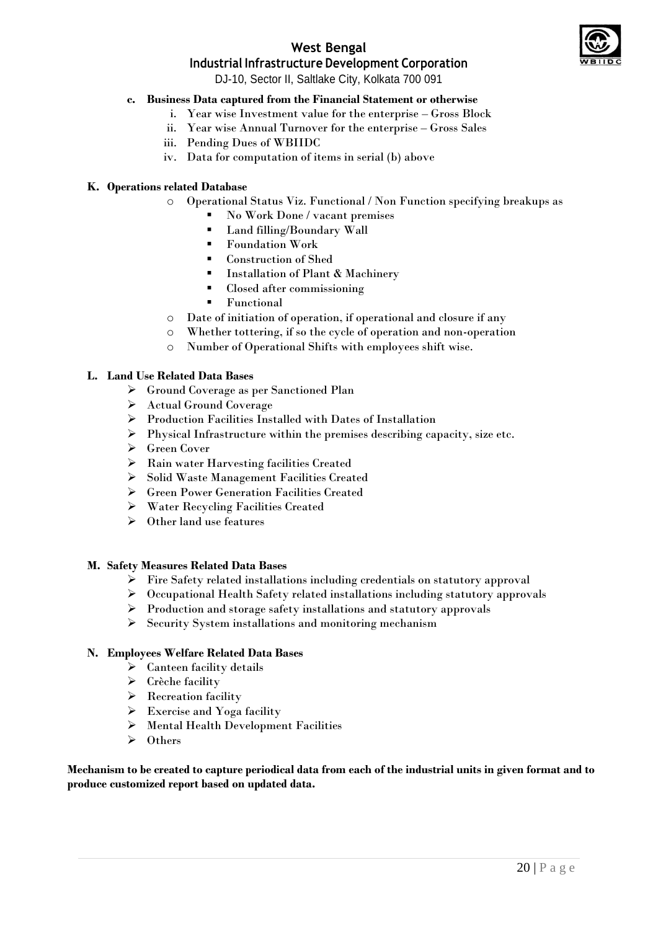

## **West Bengal**

## **Industrial Infrastructure Development Corporation**

DJ-10, Sector II, Saltlake City, Kolkata 700 091

#### **c. Business Data captured from the Financial Statement or otherwise**

- i. Year wise Investment value for the enterprise Gross Block
- ii. Year wise Annual Turnover for the enterprise Gross Sales
- iii. Pending Dues of WBIIDC
- iv. Data for computation of items in serial (b) above

#### **K. Operations related Database**

- o Operational Status Viz. Functional / Non Function specifying breakups as
	- No Work Done / vacant premises
	- **Land filling/Boundary Wall**
	- Foundation Work
	- Construction of Shed
	- Installation of Plant  $\&$  Machinery<br>In Closed after commissioning
	- Closed after commissioning
	- **Functional**
- o Date of initiation of operation, if operational and closure if any
- o Whether tottering, if so the cycle of operation and non-operation
- o Number of Operational Shifts with employees shift wise.

#### **L. Land Use Related Data Bases**

- Ground Coverage as per Sanctioned Plan
- Actual Ground Coverage
- Production Facilities Installed with Dates of Installation
- $\triangleright$  Physical Infrastructure within the premises describing capacity, size etc.
- Green Cover
- Rain water Harvesting facilities Created
- Solid Waste Management Facilities Created
- Green Power Generation Facilities Created
- Water Recycling Facilities Created
- $\triangleright$  Other land use features

#### **M. Safety Measures Related Data Bases**

- Fire Safety related installations including credentials on statutory approval
- Occupational Health Safety related installations including statutory approvals
- $\triangleright$  Production and storage safety installations and statutory approvals
- $\triangleright$  Security System installations and monitoring mechanism

#### **N. Employees Welfare Related Data Bases**

- $\triangleright$  Canteen facility details
- $\triangleright$  Crèche facility
- $\triangleright$  Recreation facility
- $\triangleright$  Exercise and Yoga facility
- $\triangleright$  Mental Health Development Facilities
- $\triangleright$  Others

**Mechanism to be created to capture periodical data from each of the industrial units in given format and to produce customized report based on updated data.**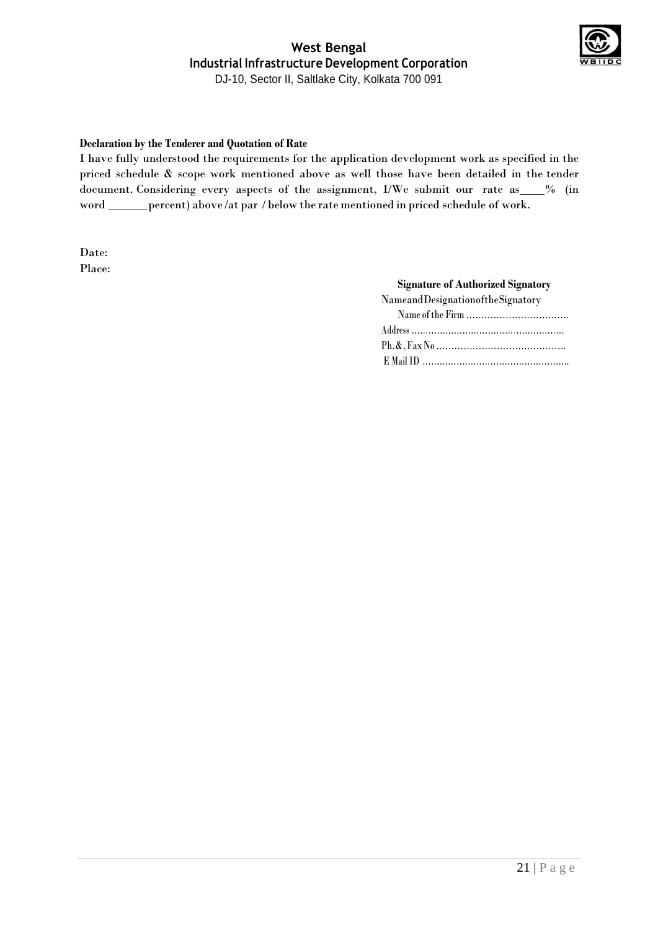

#### **Declaration by the Tenderer and Quotation of Rate**

I have fully understood the requirements for the application development work as specified in the priced schedule & scope work mentioned above as well those have been detailed in the tender document. Considering every aspects of the assignment, I/We submit our rate as 6% (in word \_\_\_\_\_\_ percent) above /at par / below the rate mentioned in priced schedule of work.

Date: Place:

#### **Signature of Authorized Signatory**

| NameandDesignationoftheSignatory |
|----------------------------------|
|                                  |
|                                  |
|                                  |
|                                  |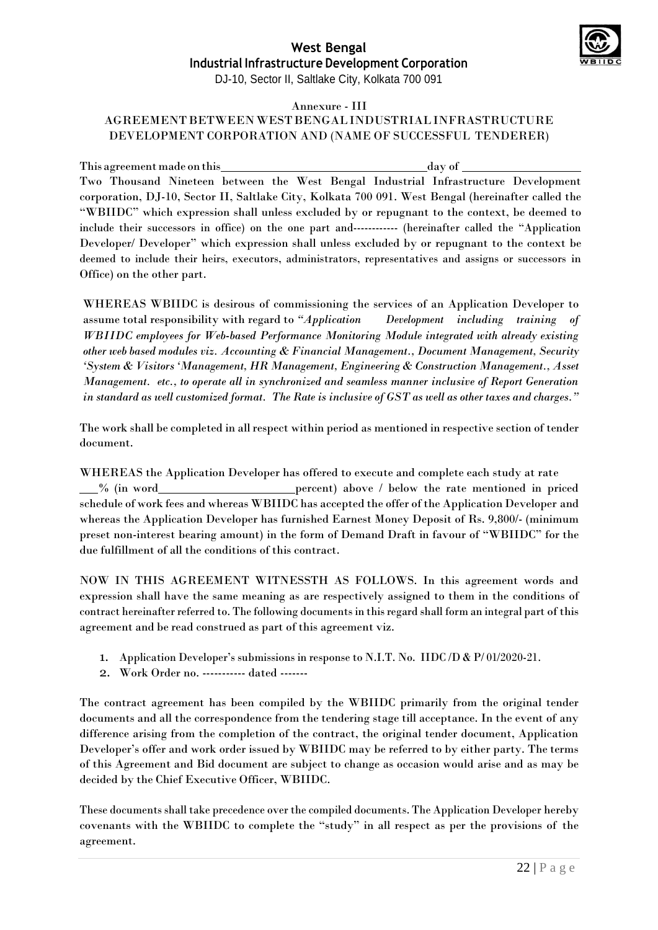

#### Annexure - III

## AGREEMENTBETWEENWESTBENGALINDUSTRIALINFRASTRUCTURE DEVELOPMENT CORPORATION AND (NAME OF SUCCESSFUL TENDERER)

This agreement made on this day of Two Thousand Nineteen between the West Bengal Industrial Infrastructure Development corporation, DJ-10, Sector II, Saltlake City, Kolkata 700 091. West Bengal (hereinafter called the "WBIIDC" which expression shall unless excluded by or repugnant to the context, be deemed to include their successors in office) on the one part and------------ (hereinafter called the "Application Developer/ Developer" which expression shall unless excluded by or repugnant to the context be deemed to include their heirs, executors, administrators, representatives and assigns or successors in Office) on the other part.

WHEREAS WBIIDC is desirous of commissioning the services of an Application Developer to assume total responsibility with regard to *"Application Development including training of WBIIDC employees for Web-based Performance Monitoring Module integrated with already existing other web based modules viz. Accounting & Financial Management., Document Management, Security 'System & Visitors 'Management, HR Management, Engineering & Construction Management., Asset Management. etc., to operate all in synchronized and seamless manner inclusive of Report Generation in standard as well customized format. The Rate is inclusive of GST as well as other taxes and charges."*

The work shall be completed in allrespect within period as mentioned in respective section of tender document.

WHEREAS the Application Developer has offered to execute and complete each study at rate  $\frac{1}{2}$  (in word percent) above / below the rate mentioned in priced schedule of work fees and whereas WBIIDC has accepted the offer of the Application Developer and whereas the Application Developer has furnished Earnest Money Deposit of Rs. 9,800/- (minimum preset non-interest bearing amount) in the form of Demand Draft in favour of "WBIIDC" for the due fulfillment of all the conditions of this contract.

NOW IN THIS AGREEMENT WITNESSTH AS FOLLOWS. In this agreement words and expression shall have the same meaning as are respectively assigned to them in the conditions of contract hereinafter referred to. The following documents in this regard shall form an integral part of this agreement and be read construed as part of this agreement viz.

- 1. Application Developer's submissions in response to N.I.T. No. IIDC /D & P/ 01/2020-21.
- 2. Work Order no. ----------- dated -------

The contract agreement has been compiled by the WBIIDC primarily from the original tender documents and all the correspondence from the tendering stage till acceptance. In the event of any difference arising from the completion of the contract, the original tender document, Application Developer's offer and work order issued by WBIIDC may be referred to by either party. The terms of this Agreement and Bid document are subject to change as occasion would arise and as may be decided by the Chief Executive Officer, WBIIDC.

These documents shall take precedence over the compiled documents. The Application Developer hereby covenants with the WBIIDC to complete the "study" in all respect as per the provisions of the agreement.